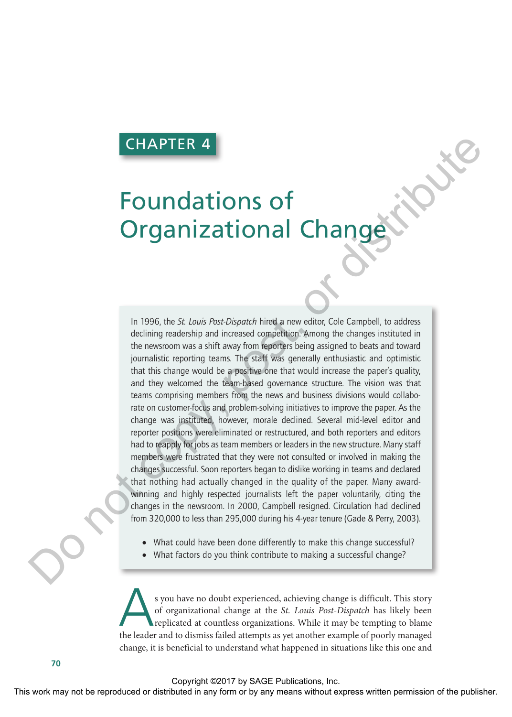## CHAPTER 4

# Foundations of **Organizational Chang**

In 1996, the *St. Louis Post-Dispatch* hired a new editor, Cole Campbell, to address declining readership and increased competition. Among the changes instituted in the newsroom was a shift away from reporters being assigned to beats and toward journalistic reporting teams. The staff was generally enthusiastic and optimistic that this change would be a positive one that would increase the paper's quality, and they welcomed the team-based governance structure. The vision was that teams comprising members from the news and business divisions would collaborate on customer-focus and problem-solving initiatives to improve the paper. As the change was instituted, however, morale declined. Several mid-level editor and reporter positions were eliminated or restructured, and both reporters and editors had to reapply for jobs as team members or leaders in the new structure. Many staff members were frustrated that they were not consulted or involved in making the changes successful. Soon reporters began to dislike working in teams and declared that nothing had actually changed in the quality of the paper. Many awardwinning and highly respected journalists left the paper voluntarily, citing the changes in the newsroom. In 2000, Campbell resigned. Circulation had declined from 320,000 to less than 295,000 during his 4-year tenure (Gade & Perry, 2003). CHAPTER 4<br>
To UITO dation is of the restauration of the restauration of the restauration of the restauration of the restauration of the restauration of the restauration of the restauration of the restauration of the resta

- What could have been done differently to make this change successful?
- What factors do you think contribute to making a successful change?

s you have no doubt experienced, achieving change is difficult. This story of organizational change at the *St. Louis Post-Dispatch* has likely been replicated at countless organizations. While it may be tempting to blame the leader and to dismiss failed attempts as yet another example of poorly managed change, it is beneficial to understand what happened in situations like this one and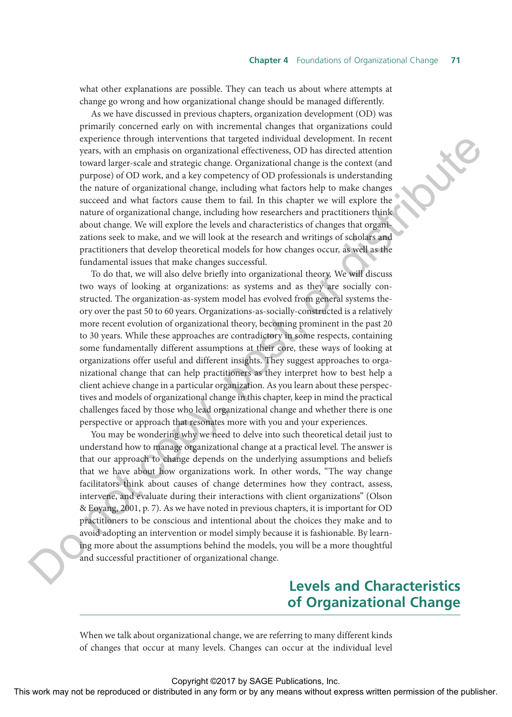what other explanations are possible. They can teach us about where attempts at change go wrong and how organizational change should be managed differently.

As we have discussed in previous chapters, organization development (OD) was primarily concerned early on with incremental changes that organizations could experience through interventions that targeted individual development. In recent years, with an emphasis on organizational effectiveness, OD has directed attention toward larger-scale and strategic change. Organizational change is the context (and purpose) of OD work, and a key competency of OD professionals is understanding the nature of organizational change, including what factors help to make changes succeed and what factors cause them to fail. In this chapter we will explore the nature of organizational change, including how researchers and practitioners think about change. We will explore the levels and characteristics of changes that organizations seek to make, and we will look at the research and writings of scholars and practitioners that develop theoretical models for how changes occur, as well as the fundamental issues that make changes successful.

To do that, we will also delve briefly into organizational theory. We will discuss two ways of looking at organizations: as systems and as they are socially constructed. The organization-as-system model has evolved from general systems theory over the past 50 to 60 years. Organizations-as-socially-constructed is a relatively more recent evolution of organizational theory, becoming prominent in the past 20 to 30 years. While these approaches are contradictory in some respects, containing some fundamentally different assumptions at their core, these ways of looking at organizations offer useful and different insights. They suggest approaches to organizational change that can help practitioners as they interpret how to best help a client achieve change in a particular organization. As you learn about these perspectives and models of organizational change in this chapter, keep in mind the practical challenges faced by those who lead organizational change and whether there is one perspective or approach that resonates more with you and your experiences. represente through the reproduced or distributed developed or any means with a stributed in any means with the reproduced or the publisher or the publisher or the publisher or distributed in a stributed or distributed in

You may be wondering why we need to delve into such theoretical detail just to understand how to manage organizational change at a practical level. The answer is that our approach to change depends on the underlying assumptions and beliefs that we have about how organizations work. In other words, "The way change facilitators think about causes of change determines how they contract, assess, intervene, and evaluate during their interactions with client organizations" (Olson & Eoyang, 2001, p. 7). As we have noted in previous chapters, it is important for OD practitioners to be conscious and intentional about the choices they make and to avoid adopting an intervention or model simply because it is fashionable. By learning more about the assumptions behind the models, you will be a more thoughtful and successful practitioner of organizational change.

## **Levels and Characteristics of Organizational Change**

When we talk about organizational change, we are referring to many different kinds of changes that occur at many levels. Changes can occur at the individual level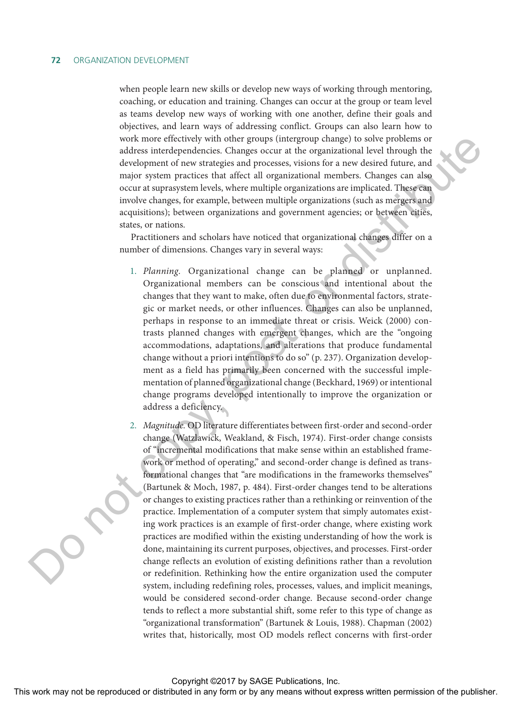### **72** ORGANIZATION DEVELOPMENT

when people learn new skills or develop new ways of working through mentoring, coaching, or education and training. Changes can occur at the group or team level as teams develop new ways of working with one another, define their goals and objectives, and learn ways of addressing conflict. Groups can also learn how to work more effectively with other groups (intergroup change) to solve problems or address interdependencies. Changes occur at the organizational level through the development of new strategies and processes, visions for a new desired future, and major system practices that affect all organizational members. Changes can also occur at suprasystem levels, where multiple organizations are implicated. These can involve changes, for example, between multiple organizations (such as mergers and acquisitions); between organizations and government agencies; or between cities, states, or nations.

Practitioners and scholars have noticed that organizational changes differ on a number of dimensions. Changes vary in several ways:

- 1. *Planning.* Organizational change can be planned or unplanned. Organizational members can be conscious and intentional about the changes that they want to make, often due to environmental factors, strategic or market needs, or other influences. Changes can also be unplanned, perhaps in response to an immediate threat or crisis. Weick (2000) contrasts planned changes with emergent changes, which are the "ongoing accommodations, adaptations, and alterations that produce fundamental change without a priori intentions to do so" (p. 237). Organization development as a field has primarily been concerned with the successful implementation of planned organizational change (Beckhard, 1969) or intentional change programs developed intentionally to improve the organization or address a deficiency.
- 2. *Magnitude.* OD literature differentiates between first-order and second-order change (Watzlawick, Weakland, & Fisch, 1974). First-order change consists of "incremental modifications that make sense within an established framework or method of operating," and second-order change is defined as transformational changes that "are modifications in the frameworks themselves" (Bartunek & Moch, 1987, p. 484). First-order changes tend to be alterations or changes to existing practices rather than a rethinking or reinvention of the practice. Implementation of a computer system that simply automates existing work practices is an example of first-order change, where existing work practices are modified within the existing understanding of how the work is done, maintaining its current purposes, objectives, and processes. First-order change reflects an evolution of existing definitions rather than a revolution or redefinition. Rethinking how the entire organization used the computer system, including redefining roles, processes, values, and implicit meanings, would be considered second-order change. Because second-order change tends to reflect a more substantial shift, some refer to this type of change as "organizational transformation" (Bartunek & Louis, 1988). Chapman (2002) writes that, historically, most OD models reflect concerns with first-order Note that the publishers are computed in any form or by any form or by any form or by any form or by any form or by any form or by any means with  $\alpha$  any  $\alpha$  any  $\alpha$  any  $\alpha$  any  $\alpha$  any  $\alpha$  any  $\alpha$  any  $\alpha$  any  $\alpha$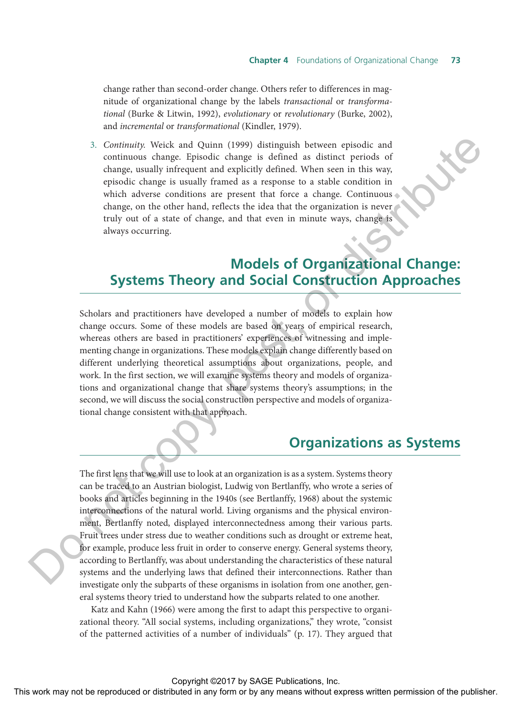change rather than second-order change. Others refer to differences in magnitude of organizational change by the labels *transactional* or *transformational* (Burke & Litwin, 1992), *evolutionary* or *revolutionary* (Burke, 2002), and *incremental* or *transformational* (Kindler, 1979).

3. *Continuity.* Weick and Quinn (1999) distinguish between episodic and continuous change. Episodic change is defined as distinct periods of change, usually infrequent and explicitly defined. When seen in this way, episodic change is usually framed as a response to a stable condition in which adverse conditions are present that force a change. Continuous change, on the other hand, reflects the idea that the organization is never truly out of a state of change, and that even in minute ways, change is always occurring.

## **Models of Organizational Change: Systems Theory and Social Construction Approaches**

Scholars and practitioners have developed a number of models to explain how change occurs. Some of these models are based on years of empirical research, whereas others are based in practitioners' experiences of witnessing and implementing change in organizations. These models explain change differently based on different underlying theoretical assumptions about organizations, people, and work. In the first section, we will examine systems theory and models of organizations and organizational change that share systems theory's assumptions; in the second, we will discuss the social construction perspective and models of organizational change consistent with that approach.

## **Organizations as Systems**

The first lens that we will use to look at an organization is as a system. Systems theory can be traced to an Austrian biologist, Ludwig von Bertlanffy, who wrote a series of books and articles beginning in the 1940s (see Bertlanffy, 1968) about the systemic interconnections of the natural world. Living organisms and the physical environment, Bertlanffy noted, displayed interconnectedness among their various parts. Fruit trees under stress due to weather conditions such as drought or extreme heat, for example, produce less fruit in order to conserve energy. General systems theory, according to Bertlanffy, was about understanding the characteristics of these natural systems and the underlying laws that defined their interconnections. Rather than investigate only the subparts of these organisms in isolation from one another, general systems theory tried to understand how the subparts related to one another. 3. Consider the reproduced or distributed in any form of the reproduced or distributed in any means and the results in a state of the constrained in any first constrained in a state of the publisher. When seen the form is

Katz and Kahn (1966) were among the first to adapt this perspective to organizational theory. "All social systems, including organizations," they wrote, "consist of the patterned activities of a number of individuals" (p. 17). They argued that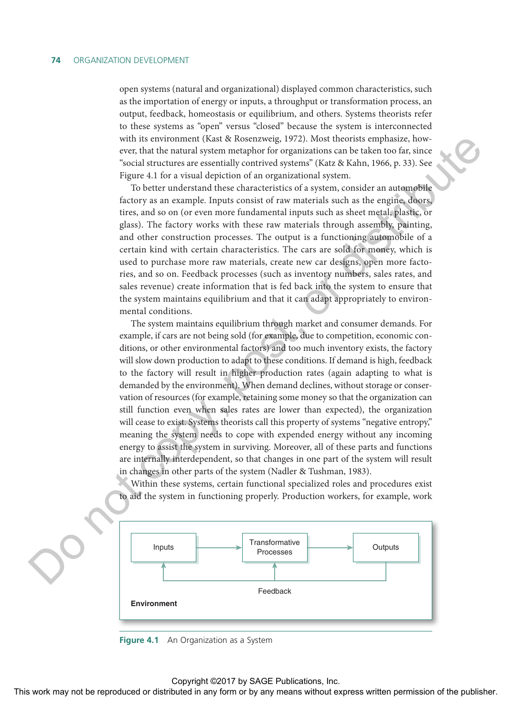open systems (natural and organizational) displayed common characteristics, such as the importation of energy or inputs, a throughput or transformation process, an output, feedback, homeostasis or equilibrium, and others. Systems theorists refer to these systems as "open" versus "closed" because the system is interconnected with its environment (Kast & Rosenzweig, 1972). Most theorists emphasize, however, that the natural system metaphor for organizations can be taken too far, since "social structures are essentially contrived systems" (Katz & Kahn, 1966, p. 33). See Figure 4.1 for a visual depiction of an organizational system.

To better understand these characteristics of a system, consider an automobile factory as an example. Inputs consist of raw materials such as the engine, doors, tires, and so on (or even more fundamental inputs such as sheet metal, plastic, or glass). The factory works with these raw materials through assembly, painting, and other construction processes. The output is a functioning automobile of a certain kind with certain characteristics. The cars are sold for money, which is used to purchase more raw materials, create new car designs, open more factories, and so on. Feedback processes (such as inventory numbers, sales rates, and sales revenue) create information that is fed back into the system to ensure that the system maintains equilibrium and that it can adapt appropriately to environmental conditions.

The system maintains equilibrium through market and consumer demands. For example, if cars are not being sold (for example, due to competition, economic conditions, or other environmental factors) and too much inventory exists, the factory will slow down production to adapt to these conditions. If demand is high, feedback to the factory will result in higher production rates (again adapting to what is demanded by the environment). When demand declines, without storage or conservation of resources (for example, retaining some money so that the organization can still function even when sales rates are lower than expected), the organization will cease to exist. Systems theorists call this property of systems "negative entropy," meaning the system needs to cope with expended energy without any incoming energy to assist the system in surviving. Moreover, all of these parts and functions are internally interdependent, so that changes in one part of the system will result in changes in other parts of the system (Nadler & Tushman, 1983). with its work may not be repressed to the state through the complete or distributed in any form or by any means with the reproduced or the publisher. This were the relationship of the publisher and the publisher and the p

Within these systems, certain functional specialized roles and procedures exist to aid the system in functioning properly. Production workers, for example, work



**Figure 4.1** An Organization as a System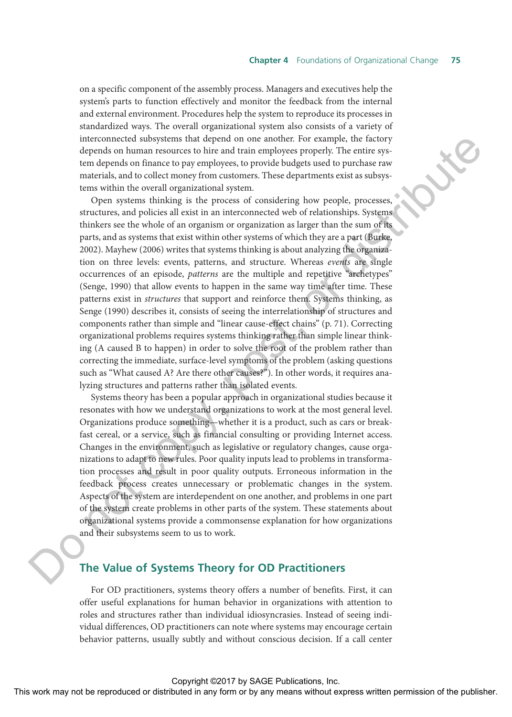on a specific component of the assembly process. Managers and executives help the system's parts to function effectively and monitor the feedback from the internal and external environment. Procedures help the system to reproduce its processes in standardized ways. The overall organizational system also consists of a variety of interconnected subsystems that depend on one another. For example, the factory depends on human resources to hire and train employees properly. The entire system depends on finance to pay employees, to provide budgets used to purchase raw materials, and to collect money from customers. These departments exist as subsystems within the overall organizational system.

Open systems thinking is the process of considering how people, processes, structures, and policies all exist in an interconnected web of relationships. Systems thinkers see the whole of an organism or organization as larger than the sum of its parts, and as systems that exist within other systems of which they are a part (Burke, 2002). Mayhew (2006) writes that systems thinking is about analyzing the organization on three levels: events, patterns, and structure. Whereas *events* are single occurrences of an episode, *patterns* are the multiple and repetitive "archetypes" (Senge, 1990) that allow events to happen in the same way time after time. These patterns exist in *structures* that support and reinforce them. Systems thinking, as Senge (1990) describes it, consists of seeing the interrelationship of structures and components rather than simple and "linear cause-effect chains" (p. 71). Correcting organizational problems requires systems thinking rather than simple linear thinking (A caused B to happen) in order to solve the root of the problem rather than correcting the immediate, surface-level symptoms of the problem (asking questions such as "What caused A? Are there other causes?"). In other words, it requires analyzing structures and patterns rather than isolated events. Hereconverted whose permission in a determined in any form of the reproduced in produced in the reproduced in any form or by any means with the result of the publisher. The copy of the publisher and the publisher and the

Systems theory has been a popular approach in organizational studies because it resonates with how we understand organizations to work at the most general level. Organizations produce something—whether it is a product, such as cars or breakfast cereal, or a service, such as financial consulting or providing Internet access. Changes in the environment, such as legislative or regulatory changes, cause organizations to adapt to new rules. Poor quality inputs lead to problems in transformation processes and result in poor quality outputs. Erroneous information in the feedback process creates unnecessary or problematic changes in the system. Aspects of the system are interdependent on one another, and problems in one part of the system create problems in other parts of the system. These statements about organizational systems provide a commonsense explanation for how organizations and their subsystems seem to us to work.

### **The Value of Systems Theory for OD Practitioners**

For OD practitioners, systems theory offers a number of benefits. First, it can offer useful explanations for human behavior in organizations with attention to roles and structures rather than individual idiosyncrasies. Instead of seeing individual differences, OD practitioners can note where systems may encourage certain behavior patterns, usually subtly and without conscious decision. If a call center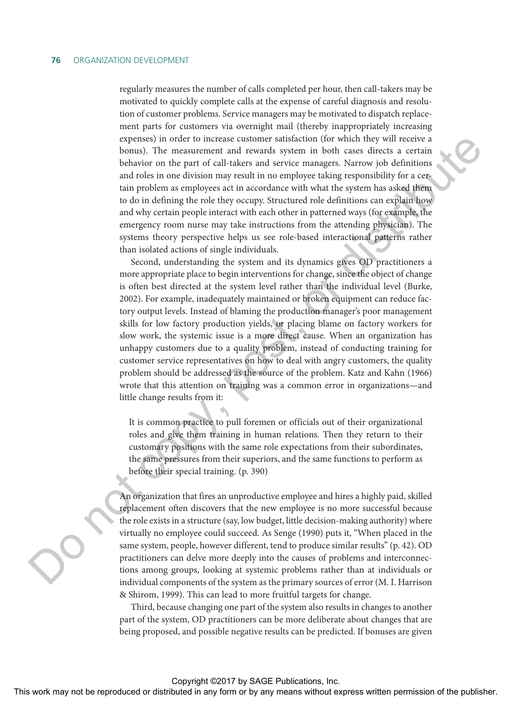regularly measures the number of calls completed per hour, then call-takers may be motivated to quickly complete calls at the expense of careful diagnosis and resolution of customer problems. Service managers may be motivated to dispatch replacement parts for customers via overnight mail (thereby inappropriately increasing expenses) in order to increase customer satisfaction (for which they will receive a bonus). The measurement and rewards system in both cases directs a certain behavior on the part of call-takers and service managers. Narrow job definitions and roles in one division may result in no employee taking responsibility for a certain problem as employees act in accordance with what the system has asked them to do in defining the role they occupy. Structured role definitions can explain how and why certain people interact with each other in patterned ways (for example, the emergency room nurse may take instructions from the attending physician). The systems theory perspective helps us see role-based interactional patterns rather than isolated actions of single individuals.

Second, understanding the system and its dynamics gives OD practitioners a more appropriate place to begin interventions for change, since the object of change is often best directed at the system level rather than the individual level (Burke, 2002). For example, inadequately maintained or broken equipment can reduce factory output levels. Instead of blaming the production manager's poor management skills for low factory production yields, or placing blame on factory workers for slow work, the systemic issue is a more direct cause. When an organization has unhappy customers due to a quality problem, instead of conducting training for customer service representatives on how to deal with angry customers, the quality problem should be addressed as the source of the problem. Katz and Kahn (1966) wrote that this attention on training was a common error in organizations—and little change results from it: represents in order to interview the restricted in the relation or between the relationship and the restricted in any form or between the relationship and the relationship and the publisher. This means were also the publi

It is common practice to pull foremen or officials out of their organizational roles and give them training in human relations. Then they return to their customary positions with the same role expectations from their subordinates, the same pressures from their superiors, and the same functions to perform as before their special training. (p. 390)

An organization that fires an unproductive employee and hires a highly paid, skilled replacement often discovers that the new employee is no more successful because the role exists in a structure (say, low budget, little decision-making authority) where virtually no employee could succeed. As Senge (1990) puts it, "When placed in the same system, people, however different, tend to produce similar results" (p. 42). OD practitioners can delve more deeply into the causes of problems and interconnections among groups, looking at systemic problems rather than at individuals or individual components of the system as the primary sources of error (M. I. Harrison & Shirom, 1999). This can lead to more fruitful targets for change.

Third, because changing one part of the system also results in changes to another part of the system, OD practitioners can be more deliberate about changes that are being proposed, and possible negative results can be predicted. If bonuses are given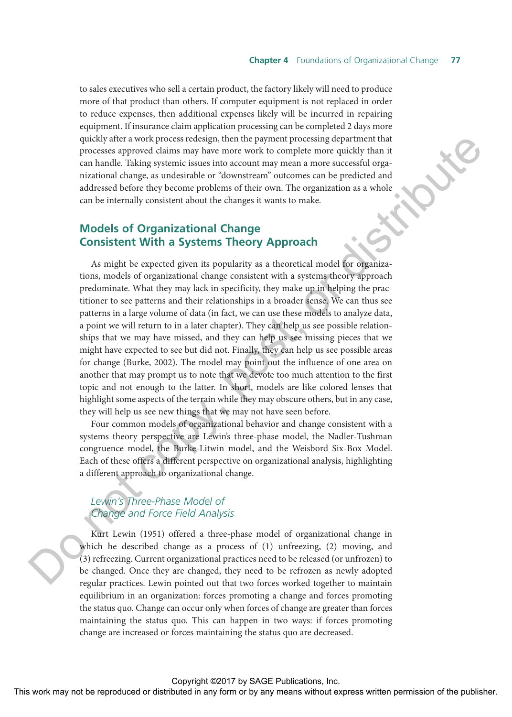to sales executives who sell a certain product, the factory likely will need to produce more of that product than others. If computer equipment is not replaced in order to reduce expenses, then additional expenses likely will be incurred in repairing equipment. If insurance claim application processing can be completed 2 days more quickly after a work process redesign, then the payment processing department that processes approved claims may have more work to complete more quickly than it can handle. Taking systemic issues into account may mean a more successful organizational change, as undesirable or "downstream" outcomes can be predicted and addressed before they become problems of their own. The organization as a whole can be internally consistent about the changes it wants to make.

### **Models of Organizational Change Consistent With a Systems Theory Approach**

As might be expected given its popularity as a theoretical model for organizations, models of organizational change consistent with a systems theory approach predominate. What they may lack in specificity, they make up in helping the practitioner to see patterns and their relationships in a broader sense. We can thus see patterns in a large volume of data (in fact, we can use these models to analyze data, a point we will return to in a later chapter). They can help us see possible relationships that we may have missed, and they can help us see missing pieces that we might have expected to see but did not. Finally, they can help us see possible areas for change (Burke, 2002). The model may point out the influence of one area on another that may prompt us to note that we devote too much attention to the first topic and not enough to the latter. In short, models are like colored lenses that highlight some aspects of the terrain while they may obscure others, but in any case, they will help us see new things that we may not have seen before. quickly stars work process with  $\epsilon$  may not be represented of the representation of the reproduced or distributed in any means were sensite to the representation of the matter or the reproduced or the reproduced or the f

Four common models of organizational behavior and change consistent with a systems theory perspective are Lewin's three-phase model, the Nadler-Tushman congruence model, the Burke-Litwin model, and the Weisbord Six-Box Model. Each of these offers a different perspective on organizational analysis, highlighting a different approach to organizational change.

### *Lewin's Three-Phase Model of Change and Force Field Analysis*

Kurt Lewin (1951) offered a three-phase model of organizational change in which he described change as a process of (1) unfreezing, (2) moving, and (3) refreezing. Current organizational practices need to be released (or unfrozen) to be changed. Once they are changed, they need to be refrozen as newly adopted regular practices. Lewin pointed out that two forces worked together to maintain equilibrium in an organization: forces promoting a change and forces promoting the status quo. Change can occur only when forces of change are greater than forces maintaining the status quo. This can happen in two ways: if forces promoting change are increased or forces maintaining the status quo are decreased.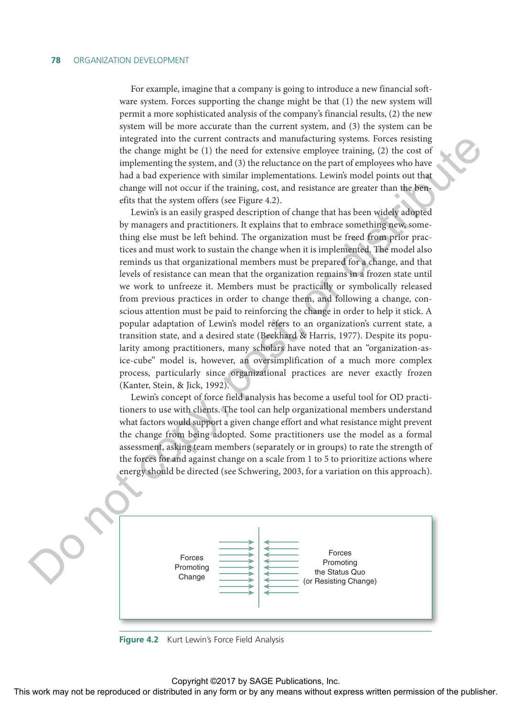For example, imagine that a company is going to introduce a new financial software system. Forces supporting the change might be that (1) the new system will permit a more sophisticated analysis of the company's financial results, (2) the new system will be more accurate than the current system, and (3) the system can be integrated into the current contracts and manufacturing systems. Forces resisting the change might be (1) the need for extensive employee training, (2) the cost of implementing the system, and (3) the reluctance on the part of employees who have had a bad experience with similar implementations. Lewin's model points out that change will not occur if the training, cost, and resistance are greater than the benefits that the system offers (see Figure 4.2).

Lewin's is an easily grasped description of change that has been widely adopted by managers and practitioners. It explains that to embrace something new, something else must be left behind. The organization must be freed from prior practices and must work to sustain the change when it is implemented. The model also reminds us that organizational members must be prepared for a change, and that levels of resistance can mean that the organization remains in a frozen state until we work to unfreeze it. Members must be practically or symbolically released from previous practices in order to change them, and following a change, conscious attention must be paid to reinforcing the change in order to help it stick. A popular adaptation of Lewin's model refers to an organization's current state, a transition state, and a desired state (Beckhard & Harris, 1977). Despite its popularity among practitioners, many scholars have noted that an "organization-asice-cube" model is, however, an oversimplification of a much more complex process, particularly since organizational practices are never exactly frozen (Kanter, Stein, & Jick, 1992). The properties with the control control control control control control control control control control control control control control control control control control control control control control control control contr

Lewin's concept of force field analysis has become a useful tool for OD practitioners to use with clients. The tool can help organizational members understand what factors would support a given change effort and what resistance might prevent the change from being adopted. Some practitioners use the model as a formal assessment, asking team members (separately or in groups) to rate the strength of the forces for and against change on a scale from 1 to 5 to prioritize actions where energy should be directed (see Schwering, 2003, for a variation on this approach).



**Figure 4.2** Kurt Lewin's Force Field Analysis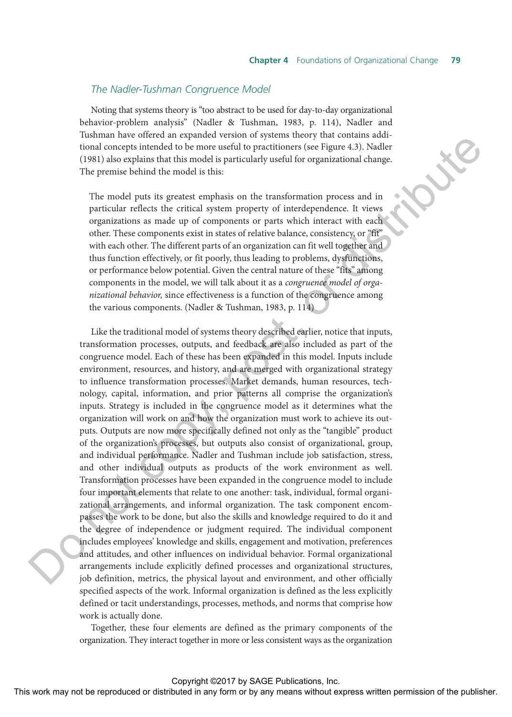### *The Nadler-Tushman Congruence Model*

Noting that systems theory is "too abstract to be used for day-to-day organizational behavior-problem analysis" (Nadler & Tushman, 1983, p. 114), Nadler and Tushman have offered an expanded version of systems theory that contains additional concepts intended to be more useful to practitioners (see Figure 4.3). Nadler (1981) also explains that this model is particularly useful for organizational change. The premise behind the model is this:

The model puts its greatest emphasis on the transformation process and in particular reflects the critical system property of interdependence. It views organizations as made up of components or parts which interact with each other. These components exist in states of relative balance, consistency, or "fit" with each other. The different parts of an organization can fit well together and thus function effectively, or fit poorly, thus leading to problems, dysfunctions, or performance below potential. Given the central nature of these "fits" among components in the model, we will talk about it as a *congruence model of organizational behavior,* since effectiveness is a function of the congruence among the various components. (Nadler & Tushman, 1983, p. 114)

Like the traditional model of systems theory described earlier, notice that inputs, transformation processes, outputs, and feedback are also included as part of the congruence model. Each of these has been expanded in this model. Inputs include environment, resources, and history, and are merged with organizational strategy to influence transformation processes. Market demands, human resources, technology, capital, information, and prior patterns all comprise the organization's inputs. Strategy is included in the congruence model as it determines what the organization will work on and how the organization must work to achieve its outputs. Outputs are now more specifically defined not only as the "tangible" product of the organization's processes, but outputs also consist of organizational, group, and individual performance. Nadler and Tushman include job satisfaction, stress, and other individual outputs as products of the work environment as well. Transformation processes have been expanded in the congruence model to include four important elements that relate to one another: task, individual, formal organizational arrangements, and informal organization. The task component encompasses the work to be done, but also the skills and knowledge required to do it and the degree of independence or judgment required. The individual component includes employees' knowledge and skills, engagement and motivation, preferences and attitudes, and other influences on individual behavior. Formal organizational arrangements include explicitly defined processes and organizational structures, job definition, metrics, the physical layout and environment, and other officially specified aspects of the work. Informal organization is defined as the less explicitly defined or tacit understandings, processes, methods, and norms that comprise how work is actually done. Thus the representation of the representation of the representation of the representation of the reproduced or the responsible distributed in any form or by any form or by any means when the responsible state in a publish

Together, these four elements are defined as the primary components of the organization. They interact together in more or less consistent ways as the organization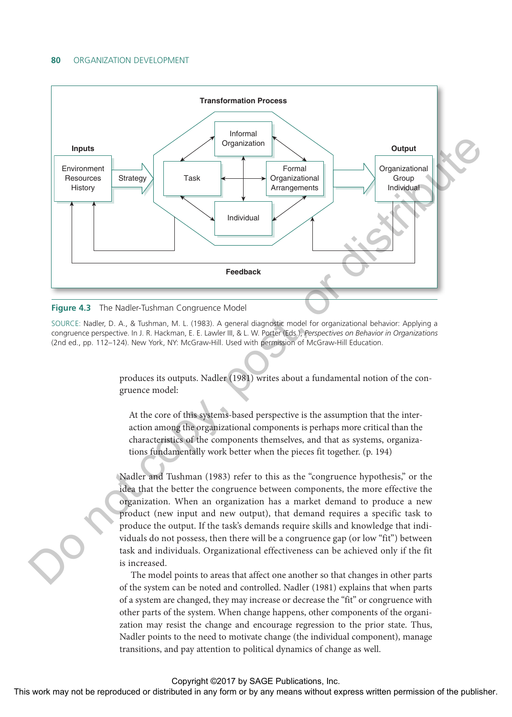



SOURCE: Nadler, D. A., & Tushman, M. L. (1983). A general diagnostic model for organizational behavior: Applying a congruence perspective. In J. R. Hackman, E. E. Lawler III, & L. W. Porter (Eds.), *Perspectives on Behavior in Organizations* (2nd ed., pp. 112–124). New York, NY: McGraw-Hill. Used with permission of McGraw-Hill Education.

> produces its outputs. Nadler (1981) writes about a fundamental notion of the congruence model:

At the core of this systems-based perspective is the assumption that the interaction among the organizational components is perhaps more critical than the characteristics of the components themselves, and that as systems, organizations fundamentally work better when the pieces fit together. (p. 194)

Nadler and Tushman (1983) refer to this as the "congruence hypothesis," or the idea that the better the congruence between components, the more effective the organization. When an organization has a market demand to produce a new product (new input and new output), that demand requires a specific task to produce the output. If the task's demands require skills and knowledge that individuals do not possess, then there will be a congruence gap (or low "fit") between task and individuals. Organizational effectiveness can be achieved only if the fit is increased.

The model points to areas that affect one another so that changes in other parts of the system can be noted and controlled. Nadler (1981) explains that when parts of a system are changed, they may increase or decrease the "fit" or congruence with other parts of the system. When change happens, other components of the organization may resist the change and encourage regression to the prior state. Thus, Nadler points to the need to motivate change (the individual component), manage transitions, and pay attention to political dynamics of change as well.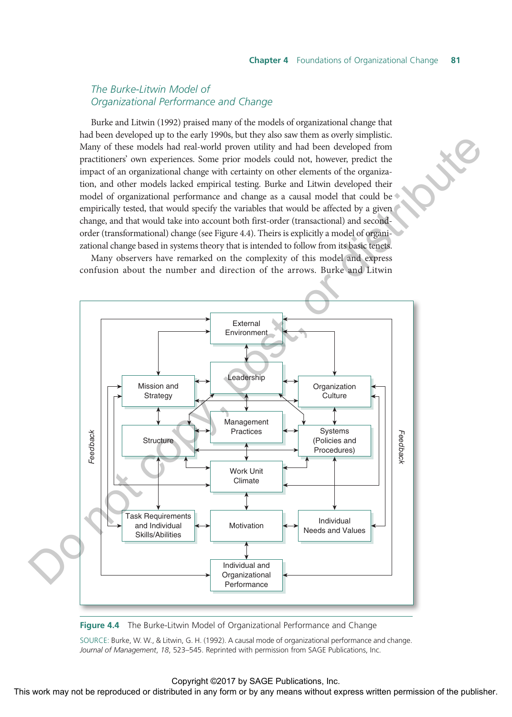### *The Burke-Litwin Model of Organizational Performance and Change*

Burke and Litwin (1992) praised many of the models of organizational change that had been developed up to the early 1990s, but they also saw them as overly simplistic. Many of these models had real-world proven utility and had been developed from practitioners' own experiences. Some prior models could not, however, predict the impact of an organizational change with certainty on other elements of the organization, and other models lacked empirical testing. Burke and Litwin developed their model of organizational performance and change as a causal model that could be empirically tested, that would specify the variables that would be affected by a given change, and that would take into account both first-order (transactional) and secondorder (transformational) change (see Figure 4.4). Theirs is explicitly a model of organizational change based in systems theory that is intended to follow from its basic tenets.

Many observers have remarked on the complexity of this model and express confusion about the number and direction of the arrows. Burke and Litwin





SOURCE: Burke, W. W., & Litwin, G. H. (1992). A causal mode of organizational performance and change. *Journal of Management*, *18*, 523–545. Reprinted with permission from SAGE Publications, Inc.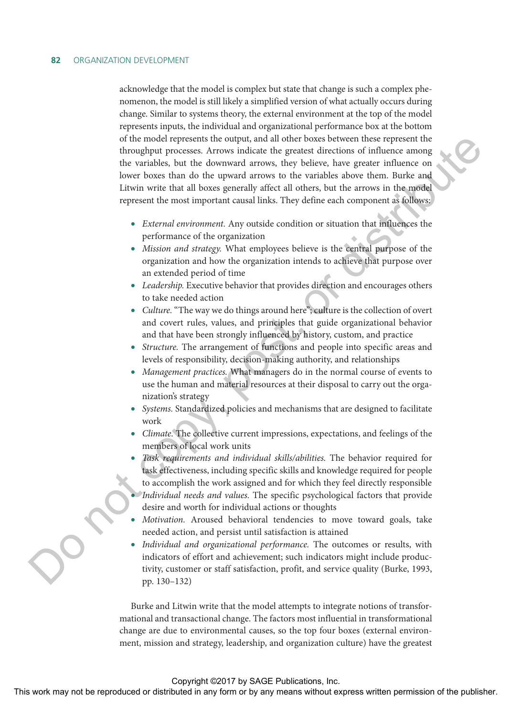acknowledge that the model is complex but state that change is such a complex phenomenon, the model is still likely a simplified version of what actually occurs during change. Similar to systems theory, the external environment at the top of the model represents inputs, the individual and organizational performance box at the bottom of the model represents the output, and all other boxes between these represent the throughput processes. Arrows indicate the greatest directions of influence among the variables, but the downward arrows, they believe, have greater influence on lower boxes than do the upward arrows to the variables above them. Burke and Litwin write that all boxes generally affect all others, but the arrows in the model represent the most important causal links. They define each component as follows: The means with the anisotropic matching the state in the means were the means where the reproduced in any form or by any point of the means of the publisher. The publisher or distributed in any form of the publisher. The

- • *External environment.* Any outside condition or situation that influences the performance of the organization
- • *Mission and strategy.* What employees believe is the central purpose of the organization and how the organization intends to achieve that purpose over an extended period of time
- Leadership. Executive behavior that provides direction and encourages others to take needed action
- *Culture.* "The way we do things around here"; culture is the collection of overt and covert rules, values, and principles that guide organizational behavior and that have been strongly influenced by history, custom, and practice
- *Structure*. The arrangement of functions and people into specific areas and levels of responsibility, decision-making authority, and relationships
- • *Management practices.* What managers do in the normal course of events to use the human and material resources at their disposal to carry out the organization's strategy
- • *Systems.* Standardized policies and mechanisms that are designed to facilitate work
- • *Climate.* The collective current impressions, expectations, and feelings of the members of local work units
- • *Task requirements and individual skills/abilities.* The behavior required for task effectiveness, including specific skills and knowledge required for people to accomplish the work assigned and for which they feel directly responsible Individual needs and values. The specific psychological factors that provide
- desire and worth for individual actions or thoughts
- • *Motivation.* Aroused behavioral tendencies to move toward goals, take needed action, and persist until satisfaction is attained
- *Individual and organizational performance*. The outcomes or results, with indicators of effort and achievement; such indicators might include productivity, customer or staff satisfaction, profit, and service quality (Burke, 1993, pp. 130–132)

Burke and Litwin write that the model attempts to integrate notions of transformational and transactional change. The factors most influential in transformational change are due to environmental causes, so the top four boxes (external environment, mission and strategy, leadership, and organization culture) have the greatest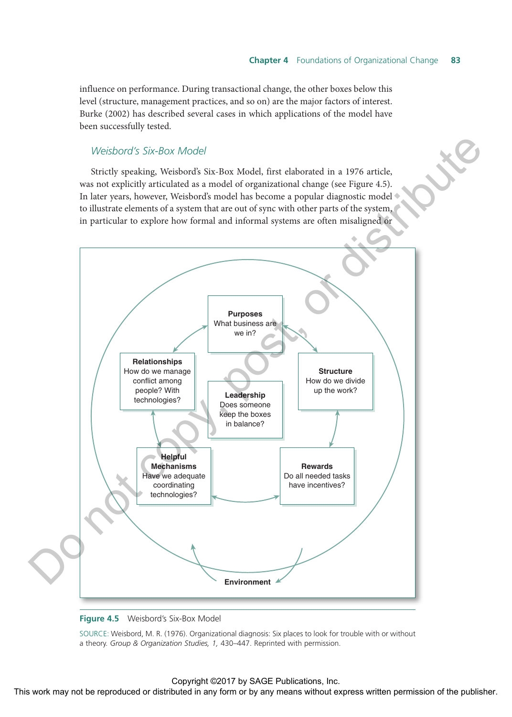influence on performance. During transactional change, the other boxes below this level (structure, management practices, and so on) are the major factors of interest. Burke (2002) has described several cases in which applications of the model have been successfully tested.

### *Weisbord's Six-Box Model*

Strictly speaking, Weisbord's Six-Box Model, first elaborated in a 1976 article, was not explicitly articulated as a model of organizational change (see Figure 4.5). In later years, however, Weisbord's model has become a popular diagnostic model to illustrate elements of a system that are out of sync with other parts of the system, in particular to explore how formal and informal systems are often misaligned or



**Figure 4.5** Weisbord's Six-Box Model

SOURCE: Weisbord, M. R. (1976). Organizational diagnosis: Six places to look for trouble with or without a theory. *Group & Organization Studies, 1,* 430–447. Reprinted with permission.

Copyright ©2017 by SAGE Publications, Inc.<br>This work may not be reproduced or distributed in any form or by any means without express written permission of the publisher.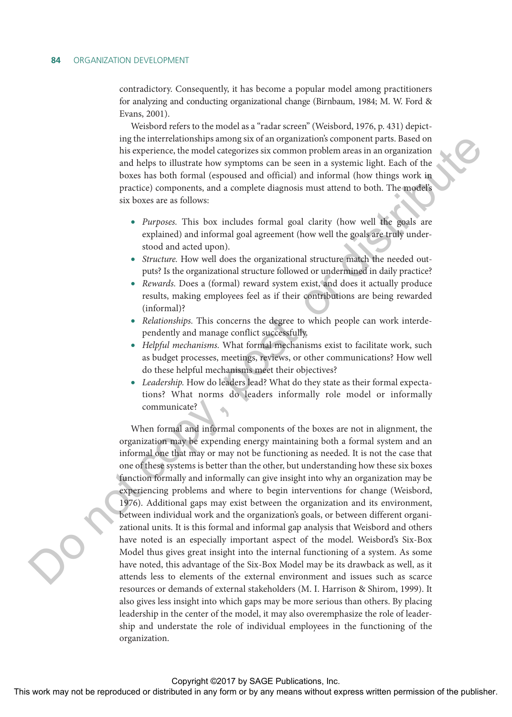### **84** ORGANIZATION DEVELOPMENT

contradictory. Consequently, it has become a popular model among practitioners for analyzing and conducting organizational change (Birnbaum, 1984; M. W. Ford & Evans, 2001).

Weisbord refers to the model as a "radar screen" (Weisbord, 1976, p. 431) depicting the interrelationships among six of an organization's component parts. Based on his experience, the model categorizes six common problem areas in an organization and helps to illustrate how symptoms can be seen in a systemic light. Each of the boxes has both formal (espoused and official) and informal (how things work in practice) components, and a complete diagnosis must attend to both. The model's six boxes are as follows:

- • *Purposes.* This box includes formal goal clarity (how well the goals are explained) and informal goal agreement (how well the goals are truly understood and acted upon).
- *Structure*. How well does the organizational structure match the needed outputs? Is the organizational structure followed or undermined in daily practice?
- *Rewards.* Does a (formal) reward system exist, and does it actually produce results, making employees feel as if their contributions are being rewarded (informal)?
- *Relationships*. This concerns the degree to which people can work interdependently and manage conflict successfully.
- • *Helpful mechanisms.* What formal mechanisms exist to facilitate work, such as budget processes, meetings, reviews, or other communications? How well do these helpful mechanisms meet their objectives?
- • *Leadership.* How do leaders lead? What do they state as their formal expectations? What norms do leaders informally role model or informally communicate?

When formal and informal components of the boxes are not in alignment, the organization may be expending energy maintaining both a formal system and an informal one that may or may not be functioning as needed. It is not the case that one of these systems is better than the other, but understanding how these six boxes function formally and informally can give insight into why an organization may be experiencing problems and where to begin interventions for change (Weisbord, 1976). Additional gaps may exist between the organization and its environment, between individual work and the organization's goals, or between different organizational units. It is this formal and informal gap analysis that Weisbord and others have noted is an especially important aspect of the model. Weisbord's Six-Box Model thus gives great insight into the internal functioning of a system. As some have noted, this advantage of the Six-Box Model may be its drawback as well, as it attends less to elements of the external environment and issues such as scarce resources or demands of external stakeholders (M. I. Harrison & Shirom, 1999). It also gives less insight into which gaps may be more serious than others. By placing leadership in the center of the model, it may also overemphasize the role of leadership and understate the role of individual employees in the functioning of the organization. The photometric method is considered or distributed in any form or by any form or by any means when the reproduced or distributed in a specifical field for distributed in a specifical field for distributed in a specifical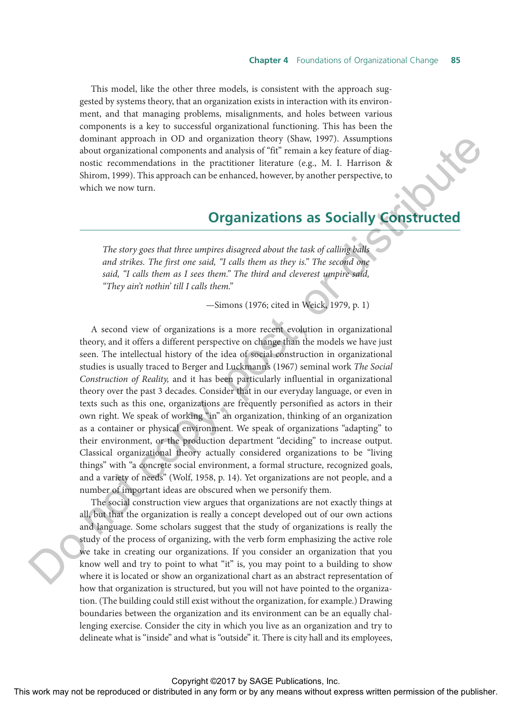This model, like the other three models, is consistent with the approach suggested by systems theory, that an organization exists in interaction with its environment, and that managing problems, misalignments, and holes between various components is a key to successful organizational functioning. This has been the dominant approach in OD and organization theory (Shaw, 1997). Assumptions about organizational components and analysis of "fit" remain a key feature of diagnostic recommendations in the practitioner literature (e.g., M. I. Harrison & Shirom, 1999). This approach can be enhanced, however, by another perspective, to which we now turn.

## **Organizations as Socially Constructed**

*The story goes that three umpires disagreed about the task of calling balls and strikes. The first one said, "I calls them as they is." The second one said, "I calls them as I sees them." The third and cleverest umpire said, "They ain't nothin' till I calls them."*

—Simons (1976; cited in Weick, 1979, p. 1)

A second view of organizations is a more recent evolution in organizational theory, and it offers a different perspective on change than the models we have just seen. The intellectual history of the idea of social construction in organizational studies is usually traced to Berger and Luckmann's (1967) seminal work *The Social Construction of Reality,* and it has been particularly influential in organizational theory over the past 3 decades. Consider that in our everyday language, or even in texts such as this one, organizations are frequently personified as actors in their own right. We speak of working "in" an organization, thinking of an organization as a container or physical environment. We speak of organizations "adapting" to their environment, or the production department "deciding" to increase output. Classical organizational theory actually considered organizations to be "living things" with "a concrete social environment, a formal structure, recognized goals, and a variety of needs" (Wolf, 1958, p. 14). Yet organizations are not people, and a number of important ideas are obscured when we personify them. dominant equivalent in the representation in the representation of the reproduced or the reproduced or the reproduced in any means we reproduced in any means we reproduced in a stributed in any positive or distributed in

The social construction view argues that organizations are not exactly things at all, but that the organization is really a concept developed out of our own actions and language. Some scholars suggest that the study of organizations is really the study of the process of organizing, with the verb form emphasizing the active role we take in creating our organizations. If you consider an organization that you know well and try to point to what "it" is, you may point to a building to show where it is located or show an organizational chart as an abstract representation of how that organization is structured, but you will not have pointed to the organization. (The building could still exist without the organization, for example.) Drawing boundaries between the organization and its environment can be an equally challenging exercise. Consider the city in which you live as an organization and try to delineate what is "inside" and what is "outside" it. There is city hall and its employees,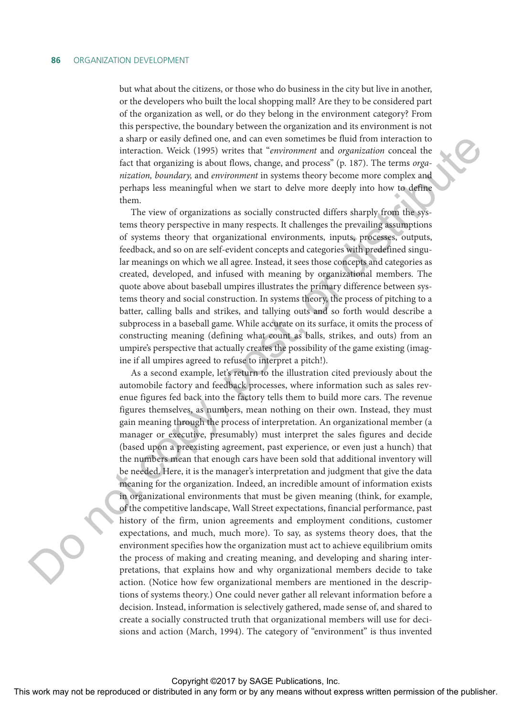but what about the citizens, or those who do business in the city but live in another, or the developers who built the local shopping mall? Are they to be considered part of the organization as well, or do they belong in the environment category? From this perspective, the boundary between the organization and its environment is not a sharp or easily defined one, and can even sometimes be fluid from interaction to interaction. Weick (1995) writes that "*environment* and *organization* conceal the fact that organizing is about flows, change, and process" (p. 187). The terms *organization, boundary,* and *environment* in systems theory become more complex and perhaps less meaningful when we start to delve more deeply into how to define them.

The view of organizations as socially constructed differs sharply from the systems theory perspective in many respects. It challenges the prevailing assumptions of systems theory that organizational environments, inputs, processes, outputs, feedback, and so on are self-evident concepts and categories with predefined singular meanings on which we all agree. Instead, it sees those concepts and categories as created, developed, and infused with meaning by organizational members. The quote above about baseball umpires illustrates the primary difference between systems theory and social construction. In systems theory, the process of pitching to a batter, calling balls and strikes, and tallying outs and so forth would describe a subprocess in a baseball game. While accurate on its surface, it omits the process of constructing meaning (defining what count as balls, strikes, and outs) from an umpire's perspective that actually creates the possibility of the game existing (imagine if all umpires agreed to refuse to interpret a pitch!).

As a second example, let's return to the illustration cited previously about the automobile factory and feedback processes, where information such as sales revenue figures fed back into the factory tells them to build more cars. The revenue figures themselves, as numbers, mean nothing on their own. Instead, they must gain meaning through the process of interpretation. An organizational member (a manager or executive, presumably) must interpret the sales figures and decide (based upon a preexisting agreement, past experience, or even just a hunch) that the numbers mean that enough cars have been sold that additional inventory will be needed. Here, it is the manager's interpretation and judgment that give the data meaning for the organization. Indeed, an incredible amount of information exists in organizational environments that must be given meaning (think, for example, of the competitive landscape, Wall Street expectations, financial performance, past history of the firm, union agreements and employment conditions, customer expectations, and much, much more). To say, as systems theory does, that the environment specifies how the organization must act to achieve equilibrium omits the process of making and creating meaning, and developing and sharing interpretations, that explains how and why organizational members decide to take action. (Notice how few organizational members are mentioned in the descriptions of systems theory.) One could never gather all relevant information before a decision. Instead, information is selectively gathered, made sense of, and shared to create a socially constructed truth that organizational members will use for decisions and action (March, 1994). The category of "environment" is thus invented The results of the state or the results of the results of the results of the results of the results of the results of the results of the results of the results of the results of the results of the results of the results o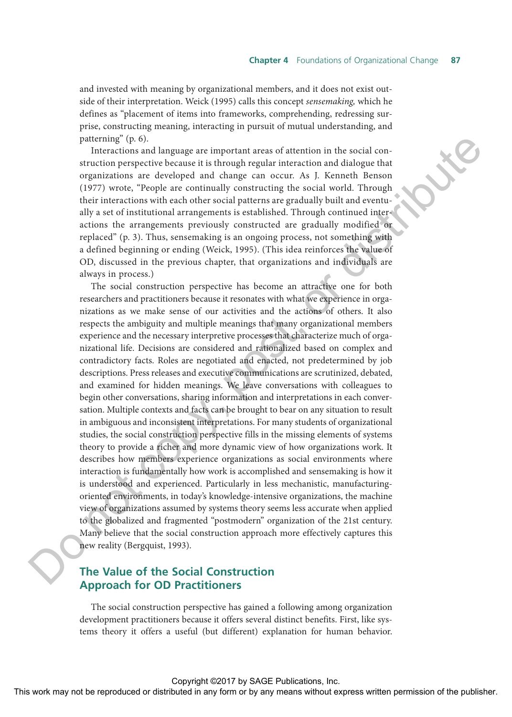and invested with meaning by organizational members, and it does not exist outside of their interpretation. Weick (1995) calls this concept *sensemaking,* which he defines as "placement of items into frameworks, comprehending, redressing surprise, constructing meaning, interacting in pursuit of mutual understanding, and patterning" (p. 6).

Interactions and language are important areas of attention in the social construction perspective because it is through regular interaction and dialogue that organizations are developed and change can occur. As J. Kenneth Benson (1977) wrote, "People are continually constructing the social world. Through their interactions with each other social patterns are gradually built and eventually a set of institutional arrangements is established. Through continued interactions the arrangements previously constructed are gradually modified or replaced" (p. 3). Thus, sensemaking is an ongoing process, not something with a defined beginning or ending (Weick, 1995). (This idea reinforces the value of OD, discussed in the previous chapter, that organizations and individuals are always in process.)

The social construction perspective has become an attractive one for both researchers and practitioners because it resonates with what we experience in organizations as we make sense of our activities and the actions of others. It also respects the ambiguity and multiple meanings that many organizational members experience and the necessary interpretive processes that characterize much of organizational life. Decisions are considered and rationalized based on complex and contradictory facts. Roles are negotiated and enacted, not predetermined by job descriptions. Press releases and executive communications are scrutinized, debated, and examined for hidden meanings. We leave conversations with colleagues to begin other conversations, sharing information and interpretations in each conversation. Multiple contexts and facts can be brought to bear on any situation to result in ambiguous and inconsistent interpretations. For many students of organizational studies, the social construction perspective fills in the missing elements of systems theory to provide a richer and more dynamic view of how organizations work. It describes how members experience organizations as social environments where interaction is fundamentally how work is accomplished and sensemaking is how it is understood and experienced. Particularly in less mechanistic, manufacturingoriented environments, in today's knowledge-intensive organizations, the machine view of organizations assumed by systems theory seems less accurate when applied to the globalized and fragmented "postmodern" organization of the 21st century. Many believe that the social construction approach more effectively captures this new reality (Bergquist, 1993). The<br>mean of the reproduced or distributed in any form of the results of the results of<br>the reproduced or distributed in any form or by any means we can be reproduced in<br>the results of the results of the results of the pub

### **The Value of the Social Construction Approach for OD Practitioners**

The social construction perspective has gained a following among organization development practitioners because it offers several distinct benefits. First, like systems theory it offers a useful (but different) explanation for human behavior.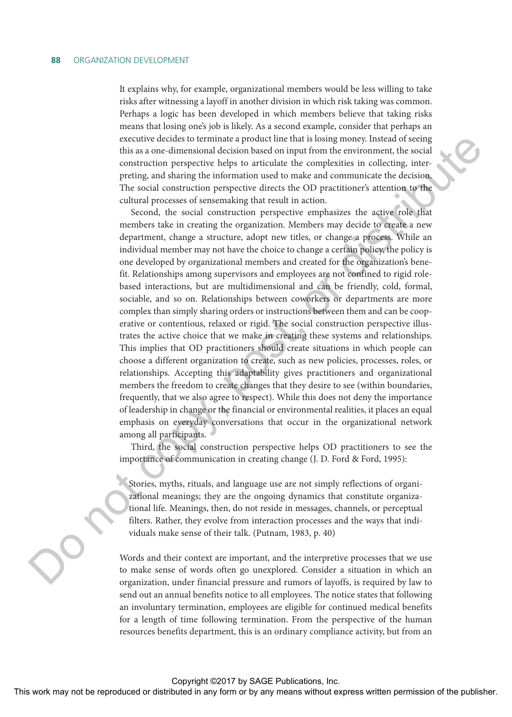It explains why, for example, organizational members would be less willing to take risks after witnessing a layoff in another division in which risk taking was common. Perhaps a logic has been developed in which members believe that taking risks means that losing one's job is likely. As a second example, consider that perhaps an executive decides to terminate a product line that is losing money. Instead of seeing this as a one-dimensional decision based on input from the environment, the social construction perspective helps to articulate the complexities in collecting, interpreting, and sharing the information used to make and communicate the decision. The social construction perspective directs the OD practitioner's attention to the cultural processes of sensemaking that result in action.

Second, the social construction perspective emphasizes the active role that members take in creating the organization. Members may decide to create a new department, change a structure, adopt new titles, or change a process. While an individual member may not have the choice to change a certain policy, the policy is one developed by organizational members and created for the organization's benefit. Relationships among supervisors and employees are not confined to rigid rolebased interactions, but are multidimensional and can be friendly, cold, formal, sociable, and so on. Relationships between coworkers or departments are more complex than simply sharing orders or instructions between them and can be cooperative or contentious, relaxed or rigid. The social construction perspective illustrates the active choice that we make in creating these systems and relationships. This implies that OD practitioners should create situations in which people can choose a different organization to create, such as new policies, processes, roles, or relationships. Accepting this adaptability gives practitioners and organizational members the freedom to create changes that they desire to see (within boundaries, frequently, that we also agree to respect). While this does not deny the importance of leadership in change or the financial or environmental realities, it places an equal emphasis on everyday conversations that occur in the organizational network among all participants. recently the restributed in the relationship of the relationship of the relationship or any means with the restributed in any form or by any means with the relationship of the relationship or the complete in relationship

Third, the social construction perspective helps OD practitioners to see the importance of communication in creating change (J. D. Ford & Ford, 1995):

Stories, myths, rituals, and language use are not simply reflections of organizational meanings; they are the ongoing dynamics that constitute organizational life. Meanings, then, do not reside in messages, channels, or perceptual filters. Rather, they evolve from interaction processes and the ways that individuals make sense of their talk. (Putnam, 1983, p. 40)

Words and their context are important, and the interpretive processes that we use to make sense of words often go unexplored. Consider a situation in which an organization, under financial pressure and rumors of layoffs, is required by law to send out an annual benefits notice to all employees. The notice states that following an involuntary termination, employees are eligible for continued medical benefits for a length of time following termination. From the perspective of the human resources benefits department, this is an ordinary compliance activity, but from an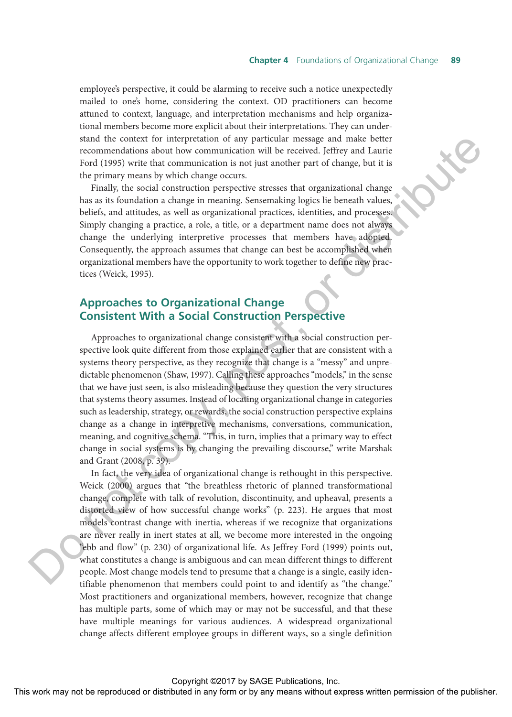employee's perspective, it could be alarming to receive such a notice unexpectedly mailed to one's home, considering the context. OD practitioners can become attuned to context, language, and interpretation mechanisms and help organizational members become more explicit about their interpretations. They can understand the context for interpretation of any particular message and make better recommendations about how communication will be received. Jeffrey and Laurie Ford (1995) write that communication is not just another part of change, but it is the primary means by which change occurs.

Finally, the social construction perspective stresses that organizational change has as its foundation a change in meaning. Sensemaking logics lie beneath values, beliefs, and attitudes, as well as organizational practices, identities, and processes. Simply changing a practice, a role, a title, or a department name does not always change the underlying interpretive processes that members have adopted. Consequently, the approach assumes that change can best be accomplished when organizational members have the opportunity to work together to define new practices (Weick, 1995).

## **Approaches to Organizational Change Consistent With a Social Construction Perspective**

Approaches to organizational change consistent with a social construction perspective look quite different from those explained earlier that are consistent with a systems theory perspective, as they recognize that change is a "messy" and unpredictable phenomenon (Shaw, 1997). Calling these approaches "models," in the sense that we have just seen, is also misleading because they question the very structures that systems theory assumes. Instead of locating organizational change in categories such as leadership, strategy, or rewards, the social construction perspective explains change as a change in interpretive mechanisms, conversations, communication, meaning, and cognitive schema. "This, in turn, implies that a primary way to effect change in social systems is by changing the prevailing discourse," write Marshak and Grant (2008, p. 39).

In fact, the very idea of organizational change is rethought in this perspective. Weick (2000) argues that "the breathless rhetoric of planned transformational change, complete with talk of revolution, discontinuity, and upheaval, presents a distorted view of how successful change works" (p. 223). He argues that most models contrast change with inertia, whereas if we recognize that organizations are never really in inert states at all, we become more interested in the ongoing "ebb and flow" (p. 230) of organizational life. As Jeffrey Ford (1999) points out, what constitutes a change is ambiguous and can mean different things to different people. Most change models tend to presume that a change is a single, easily identifiable phenomenon that members could point to and identify as "the change." Most practitioners and organizational members, however, recognize that change has multiple parts, some of which may or may not be successful, and that these have multiple meanings for various audiences. A widespread organizational change affects different employee groups in different ways, so a single definition stand the control to the repression of any fartness were good in ande states<br>
The reproduced in any form or the publisher area of color or by any means with the publisher. The publisher and the publisher and the publisher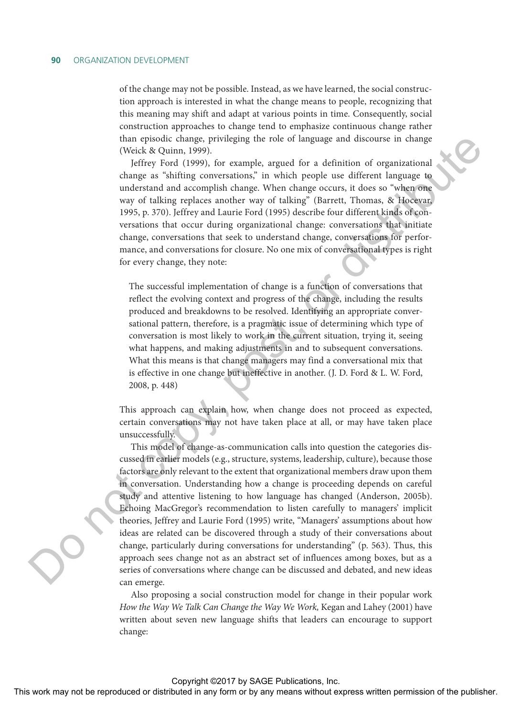of the change may not be possible. Instead, as we have learned, the social construction approach is interested in what the change means to people, recognizing that this meaning may shift and adapt at various points in time. Consequently, social construction approaches to change tend to emphasize continuous change rather than episodic change, privileging the role of language and discourse in change (Weick & Quinn, 1999).

Jeffrey Ford (1999), for example, argued for a definition of organizational change as "shifting conversations," in which people use different language to understand and accomplish change. When change occurs, it does so "when one way of talking replaces another way of talking" (Barrett, Thomas, & Hocevar, 1995, p. 370). Jeffrey and Laurie Ford (1995) describe four different kinds of conversations that occur during organizational change: conversations that initiate change, conversations that seek to understand change, conversations for performance, and conversations for closure. No one mix of conversational types is right for every change, they note:

The successful implementation of change is a function of conversations that reflect the evolving context and progress of the change, including the results produced and breakdowns to be resolved. Identifying an appropriate conversational pattern, therefore, is a pragmatic issue of determining which type of conversation is most likely to work in the current situation, trying it, seeing what happens, and making adjustments in and to subsequent conversations. What this means is that change managers may find a conversational mix that is effective in one change but ineffective in another. (J. D. Ford & L. W. Ford, 2008, p. 448)

This approach can explain how, when change does not proceed as expected, certain conversations may not have taken place at all, or may have taken place unsuccessfully.

This model of change-as-communication calls into question the categories discussed in earlier models (e.g., structure, systems, leadership, culture), because those factors are only relevant to the extent that organizational members draw upon them in conversation. Understanding how a change is proceeding depends on careful study and attentive listening to how language has changed (Anderson, 2005b). Echoing MacGregor's recommendation to listen carefully to managers' implicit theories, Jeffrey and Laurie Ford (1995) write, "Managers' assumptions about how ideas are related can be discovered through a study of their conversations about change, particularly during conversations for understanding" (p. 563). Thus, this approach sees change not as an abstract set of influences among boxes, but as a series of conversations where change can be discussed and debated, and new ideas can emerge. The may note that the representation of the representation of the representation of the reproduced or the reproduced or the reproduced in a space of the representation of the representation of the representation of the re

Also proposing a social construction model for change in their popular work *How the Way We Talk Can Change the Way We Work,* Kegan and Lahey (2001) have written about seven new language shifts that leaders can encourage to support change: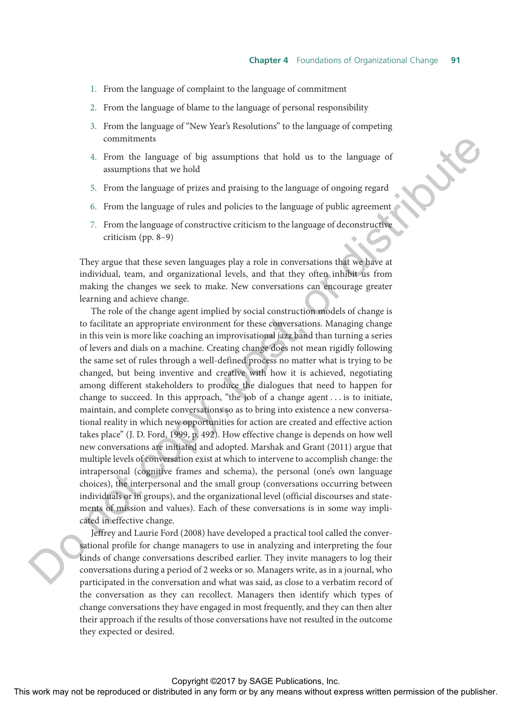- 1. From the language of complaint to the language of commitment
- 2. From the language of blame to the language of personal responsibility
- 3. From the language of "New Year's Resolutions" to the language of competing commitments
- 4. From the language of big assumptions that hold us to the language of assumptions that we hold
- 5. From the language of prizes and praising to the language of ongoing regard
- 6. From the language of rules and policies to the language of public agreement
- 7. From the language of constructive criticism to the language of deconstructive criticism (pp. 8–9)

They argue that these seven languages play a role in conversations that we have at individual, team, and organizational levels, and that they often inhibit us from making the changes we seek to make. New conversations can encourage greater learning and achieve change.

The role of the change agent implied by social construction models of change is to facilitate an appropriate environment for these conversations. Managing change in this vein is more like coaching an improvisational jazz band than turning a series of levers and dials on a machine. Creating change does not mean rigidly following the same set of rules through a well-defined process no matter what is trying to be changed, but being inventive and creative with how it is achieved, negotiating among different stakeholders to produce the dialogues that need to happen for change to succeed. In this approach, "the job of a change agent . . . is to initiate, maintain, and complete conversations so as to bring into existence a new conversational reality in which new opportunities for action are created and effective action takes place" (J. D. Ford, 1999, p. 492). How effective change is depends on how well new conversations are initiated and adopted. Marshak and Grant (2011) argue that multiple levels of conversation exist at which to intervene to accomplish change: the intrapersonal (cognitive frames and schema), the personal (one's own language choices), the interpersonal and the small group (conversations occurring between individuals or in groups), and the organizational level (official discourses and statements of mission and values). Each of these conversations is in some way implicated in effective change. From the language of big assumptions that hold as to the language of such any means with the reproduced or distributed in any form of the reproduced in any form of the publisher. The reproduced in the language of constrai

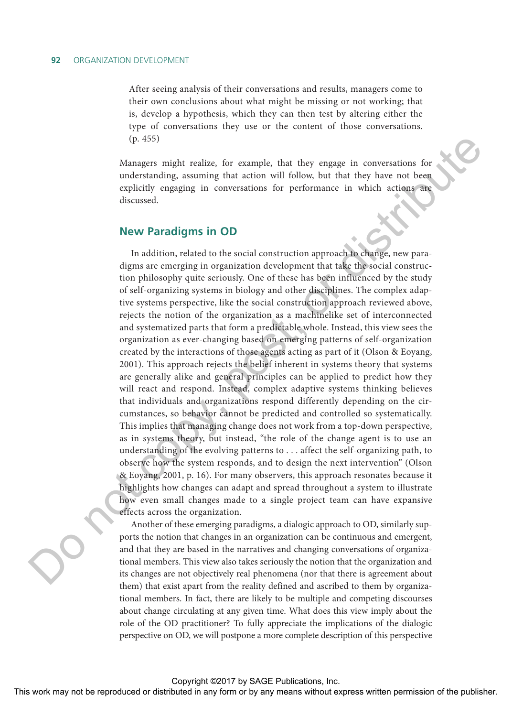After seeing analysis of their conversations and results, managers come to their own conclusions about what might be missing or not working; that is, develop a hypothesis, which they can then test by altering either the type of conversations they use or the content of those conversations. (p. 455)

Managers might realize, for example, that they engage in conversations for understanding, assuming that action will follow, but that they have not been explicitly engaging in conversations for performance in which actions are discussed.

### **New Paradigms in OD**

In addition, related to the social construction approach to change, new paradigms are emerging in organization development that take the social construction philosophy quite seriously. One of these has been influenced by the study of self-organizing systems in biology and other disciplines. The complex adaptive systems perspective, like the social construction approach reviewed above, rejects the notion of the organization as a machinelike set of interconnected and systematized parts that form a predictable whole. Instead, this view sees the organization as ever-changing based on emerging patterns of self-organization created by the interactions of those agents acting as part of it (Olson & Eoyang, 2001). This approach rejects the belief inherent in systems theory that systems are generally alike and general principles can be applied to predict how they will react and respond. Instead, complex adaptive systems thinking believes that individuals and organizations respond differently depending on the circumstances, so behavior cannot be predicted and controlled so systematically. This implies that managing change does not work from a top-down perspective, as in systems theory, but instead, "the role of the change agent is to use an understanding of the evolving patterns to . . . affect the self-organizing path, to observe how the system responds, and to design the next intervention" (Olson & Eoyang, 2001, p. 16). For many observers, this approach resonates because it highlights how changes can adapt and spread throughout a system to illustrate how even small changes made to a single project team can have expansive effects across the organization. The state of the means with the repression or distributed in a state or distributed in any means were expected or distributed in a state of the publisher or distributed in any means were determined in a state of the publi

Another of these emerging paradigms, a dialogic approach to OD, similarly supports the notion that changes in an organization can be continuous and emergent, and that they are based in the narratives and changing conversations of organizational members. This view also takes seriously the notion that the organization and its changes are not objectively real phenomena (nor that there is agreement about them) that exist apart from the reality defined and ascribed to them by organizational members. In fact, there are likely to be multiple and competing discourses about change circulating at any given time. What does this view imply about the role of the OD practitioner? To fully appreciate the implications of the dialogic perspective on OD, we will postpone a more complete description of this perspective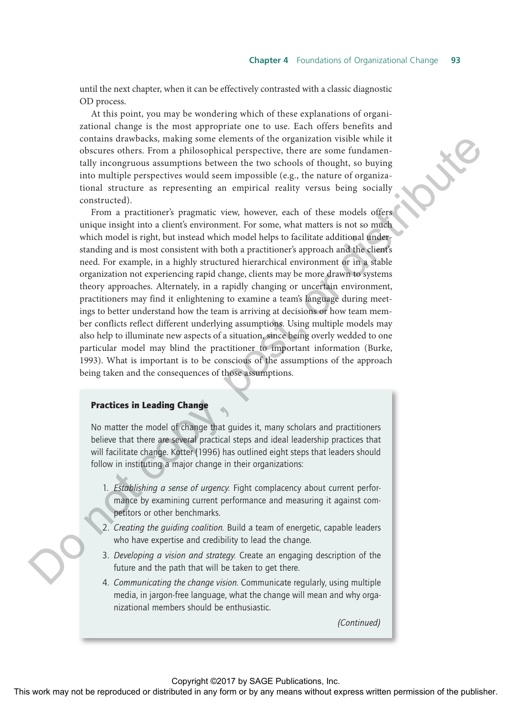until the next chapter, when it can be effectively contrasted with a classic diagnostic OD process.

At this point, you may be wondering which of these explanations of organizational change is the most appropriate one to use. Each offers benefits and contains drawbacks, making some elements of the organization visible while it obscures others. From a philosophical perspective, there are some fundamentally incongruous assumptions between the two schools of thought, so buying into multiple perspectives would seem impossible (e.g., the nature of organizational structure as representing an empirical reality versus being socially constructed).

From a practitioner's pragmatic view, however, each of these models offers unique insight into a client's environment. For some, what matters is not so much which model is right, but instead which model helps to facilitate additional understanding and is most consistent with both a practitioner's approach and the client's need. For example, in a highly structured hierarchical environment or in a stable organization not experiencing rapid change, clients may be more drawn to systems theory approaches. Alternately, in a rapidly changing or uncertain environment, practitioners may find it enlightening to examine a team's language during meetings to better understand how the team is arriving at decisions or how team member conflicts reflect different underlying assumptions. Using multiple models may also help to illuminate new aspects of a situation, since being overly wedded to one particular model may blind the practitioner to important information (Burke, 1993). What is important is to be conscious of the assumptions of the approach being taken and the consequences of those assumptions. contrins the publisher may not be reproduced to the reproduced or distributed in any form or by any form or  $\sim$  by any form or  $\sim$  by any means were proposite the publisher. This was control the publisher or distributed

### Practices in Leading Change

No matter the model of change that guides it, many scholars and practitioners believe that there are several practical steps and ideal leadership practices that will facilitate change. Kotter (1996) has outlined eight steps that leaders should follow in instituting a major change in their organizations:

- 1. *Establishing a sense of urgency.* Fight complacency about current performance by examining current performance and measuring it against competitors or other benchmarks.
- 2. *Creating the guiding coalition.* Build a team of energetic, capable leaders who have expertise and credibility to lead the change.
- 3. *Developing a vision and strategy.* Create an engaging description of the future and the path that will be taken to get there.
- 4. *Communicating the change vision.* Communicate regularly, using multiple media, in jargon-free language, what the change will mean and why organizational members should be enthusiastic.

*(Continued)*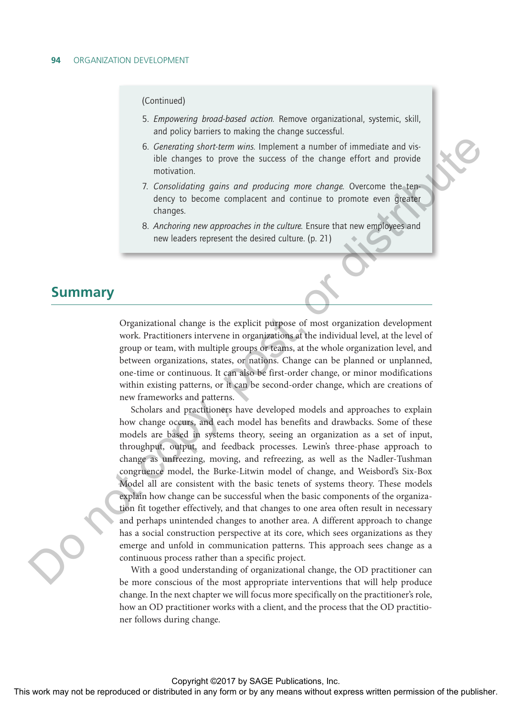### (Continued)

- 5. *Empowering broad-based action.* Remove organizational, systemic, skill, and policy barriers to making the change successful.
- 6. *Generating short-term wins.* Implement a number of immediate and visible changes to prove the success of the change effort and provide motivation.
- 7. *Consolidating gains and producing more change.* Overcome the tendency to become complacent and continue to promote even greater changes.
- 8. *Anchoring new approaches in the culture.* Ensure that new employees and new leaders represent the desired culture. (p. 21)

## **Summary**

Organizational change is the explicit purpose of most organization development work. Practitioners intervene in organizations at the individual level, at the level of group or team, with multiple groups or teams, at the whole organization level, and between organizations, states, or nations. Change can be planned or unplanned, one-time or continuous. It can also be first-order change, or minor modifications within existing patterns, or it can be second-order change, which are creations of new frameworks and patterns.

Scholars and practitioners have developed models and approaches to explain how change occurs, and each model has benefits and drawbacks. Some of these models are based in systems theory, seeing an organization as a set of input, throughput, output, and feedback processes. Lewin's three-phase approach to change as unfreezing, moving, and refreezing, as well as the Nadler-Tushman congruence model, the Burke-Litwin model of change, and Weisbord's Six-Box Model all are consistent with the basic tenets of systems theory. These models explain how change can be successful when the basic components of the organization fit together effectively, and that changes to one area often result in necessary and perhaps unintended changes to another area. A different approach to change has a social construction perspective at its core, which sees organizations as they emerge and unfold in communication patterns. This approach sees change as a continuous process rather than a specific project. S. Generation permission, the representation and the multipulation and the repression of the compatibility of the compatibility of the compatibility of the compatibility of the compatibility of the publisher. The composit

With a good understanding of organizational change, the OD practitioner can be more conscious of the most appropriate interventions that will help produce change. In the next chapter we will focus more specifically on the practitioner's role, how an OD practitioner works with a client, and the process that the OD practitioner follows during change.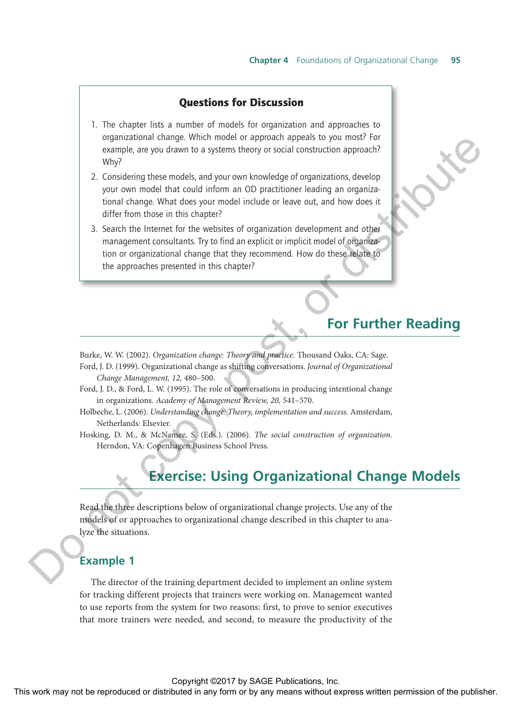### Questions for Discussion

- 1. The chapter lists a number of models for organization and approaches to organizational change. Which model or approach appeals to you most? For example, are you drawn to a systems theory or social construction approach? Why?
- 2. Considering these models, and your own knowledge of organizations, develop your own model that could inform an OD practitioner leading an organizational change. What does your model include or leave out, and how does it differ from those in this chapter?
- 3. Search the Internet for the websites of organization development and other management consultants. Try to find an explicit or implicit model of organization or organizational change that they recommend. How do these relate to the approaches presented in this chapter?

## **For Further Reading**

Burke, W. W. (2002). *Organization change: Theory and practice.* Thousand Oaks, CA: Sage. Ford, J. D. (1999). Organizational change as shifting conversations. *Journal of Organizational Change Management, 12,* 480–500.

- Ford, J. D., & Ford, L. W. (1995). The role of conversations in producing intentional change in organizations. *Academy of Management Review, 20,* 541–570.
- Holbeche, L. (2006). *Understanding change: Theory, implementation and success.* Amsterdam, Netherlands: Elsevier.

Hosking, D. M., & McNamee, S. (Eds.). (2006). *The social construction of organization.*  Herndon, VA: Copenhagen Business School Press.

## **Exercise: Using Organizational Change Models**

Read the three descriptions below of organizational change projects. Use any of the models of or approaches to organizational change described in this chapter to analyze the situations.

### **Example 1**

The director of the training department decided to implement an online system for tracking different projects that trainers were working on. Management wanted to use reports from the system for two reasons: first, to prove to senior executives that more trainers were needed, and second, to measure the productivity of the **Symphony and the reproduced or distributed in any form or by any form or by any form or by any form or by any form or by any form or by any means with the reproduced or or by any means when**  $\lambda$ **. See the representation s**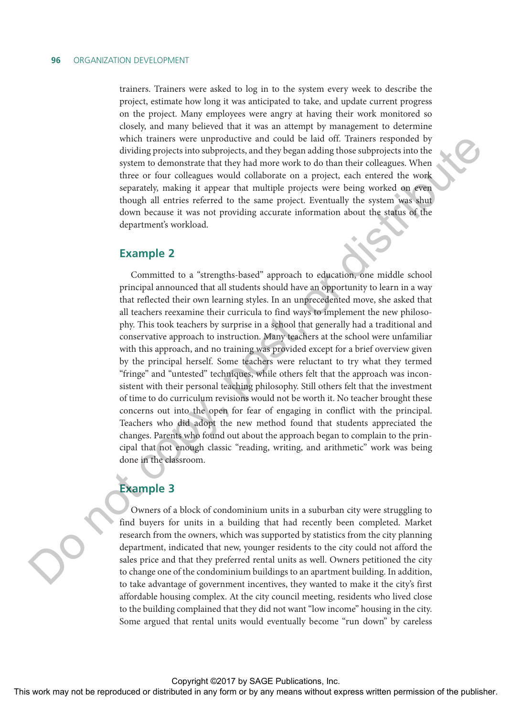### **96** ORGANIZATION DEVELOPMENT

trainers. Trainers were asked to log in to the system every week to describe the project, estimate how long it was anticipated to take, and update current progress on the project. Many employees were angry at having their work monitored so closely, and many believed that it was an attempt by management to determine which trainers were unproductive and could be laid off. Trainers responded by dividing projects into subprojects, and they began adding those subprojects into the system to demonstrate that they had more work to do than their colleagues. When three or four colleagues would collaborate on a project, each entered the work separately, making it appear that multiple projects were being worked on even though all entries referred to the same project. Eventually the system was shut down because it was not providing accurate information about the status of the department's workload.

### **Example 2**

Committed to a "strengths-based" approach to education, one middle school principal announced that all students should have an opportunity to learn in a way that reflected their own learning styles. In an unprecedented move, she asked that all teachers reexamine their curricula to find ways to implement the new philosophy. This took teachers by surprise in a school that generally had a traditional and conservative approach to instruction. Many teachers at the school were unfamiliar with this approach, and no training was provided except for a brief overview given by the principal herself. Some teachers were reluctant to try what they termed "fringe" and "untested" techniques, while others felt that the approach was inconsistent with their personal teaching philosophy. Still others felt that the investment of time to do curriculum revisions would not be worth it. No teacher brought these concerns out into the open for fear of engaging in conflict with the principal. Teachers who did adopt the new method found that students appreciated the changes. Parents who found out about the approach began to complain to the principal that not enough classic "reading, writing, and arithmetic" work was being done in the classroom. which mines were not or the lead of millions with the repression of the reproduced or the reproduced or distributed in any means with the publisher and the publisher or by any means with the publisher. A state of the publ

## **Example 3**

Owners of a block of condominium units in a suburban city were struggling to find buyers for units in a building that had recently been completed. Market research from the owners, which was supported by statistics from the city planning department, indicated that new, younger residents to the city could not afford the sales price and that they preferred rental units as well. Owners petitioned the city to change one of the condominium buildings to an apartment building. In addition, to take advantage of government incentives, they wanted to make it the city's first affordable housing complex. At the city council meeting, residents who lived close to the building complained that they did not want "low income" housing in the city. Some argued that rental units would eventually become "run down" by careless